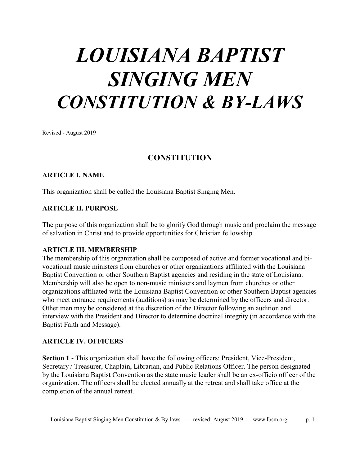# *LOUISIANA BAPTIST SINGING MEN CONSTITUTION & BY-LAWS*

Revised - August 2019

## **CONSTITUTION**

#### **ARTICLE I. NAME**

This organization shall be called the Louisiana Baptist Singing Men.

#### **ARTICLE II. PURPOSE**

The purpose of this organization shall be to glorify God through music and proclaim the message of salvation in Christ and to provide opportunities for Christian fellowship.

#### **ARTICLE III. MEMBERSHIP**

The membership of this organization shall be composed of active and former vocational and bivocational music ministers from churches or other organizations affiliated with the Louisiana Baptist Convention or other Southern Baptist agencies and residing in the state of Louisiana. Membership will also be open to non-music ministers and laymen from churches or other organizations affiliated with the Louisiana Baptist Convention or other Southern Baptist agencies who meet entrance requirements (auditions) as may be determined by the officers and director. Other men may be considered at the discretion of the Director following an audition and interview with the President and Director to determine doctrinal integrity (in accordance with the Baptist Faith and Message).

#### **ARTICLE IV. OFFICERS**

**Section 1** - This organization shall have the following officers: President, Vice-President, Secretary / Treasurer, Chaplain, Librarian, and Public Relations Officer. The person designated by the Louisiana Baptist Convention as the state music leader shall be an ex-officio officer of the organization. The officers shall be elected annually at the retreat and shall take office at the completion of the annual retreat.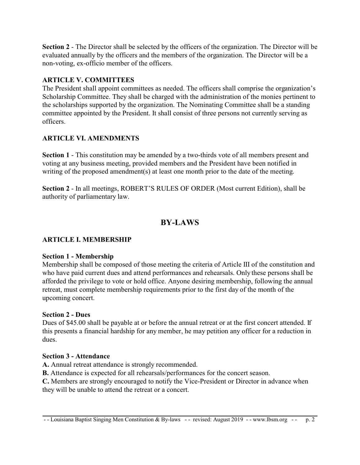**Section 2** - The Director shall be selected by the officers of the organization. The Director will be evaluated annually by the officers and the members of the organization. The Director will be a non-voting, ex-officio member of the officers.

## **ARTICLE V. COMMITTEES**

The President shall appoint committees as needed. The officers shall comprise the organization's Scholarship Committee. They shall be charged with the administration of the monies pertinent to the scholarships supported by the organization. The Nominating Committee shall be a standing committee appointed by the President. It shall consist of three persons not currently serving as officers.

## **ARTICLE VI. AMENDMENTS**

**Section 1** - This constitution may be amended by a two-thirds vote of all members present and voting at any business meeting, provided members and the President have been notified in writing of the proposed amendment(s) at least one month prior to the date of the meeting.

**Section 2** - In all meetings, ROBERT'S RULES OF ORDER (Most current Edition), shall be authority of parliamentary law.

# **BY-LAWS**

## **ARTICLE I. MEMBERSHIP**

## **Section 1 - Membership**

Membership shall be composed of those meeting the criteria of Article III of the constitution and who have paid current dues and attend performances and rehearsals. Only these persons shall be afforded the privilege to vote or hold office. Anyone desiring membership, following the annual retreat, must complete membership requirements prior to the first day of the month of the upcoming concert.

## **Section 2 - Dues**

Dues of \$45.00 shall be payable at or before the annual retreat or at the first concert attended. If this presents a financial hardship for any member, he may petition any officer for a reduction in dues.

## **Section 3 - Attendance**

**A.** Annual retreat attendance is strongly recommended.

**B.** Attendance is expected for all rehearsals/performances for the concert season.

**C.** Members are strongly encouraged to notify the Vice-President or Director in advance when they will be unable to attend the retreat or a concert.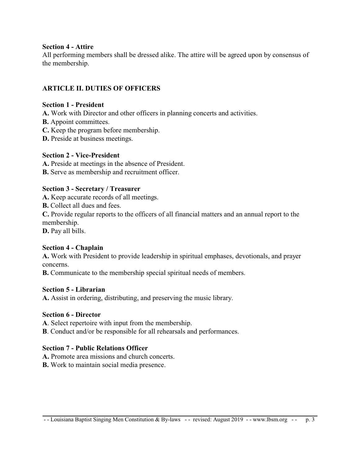#### **Section 4 - Attire**

All performing members shall be dressed alike. The attire will be agreed upon by consensus of the membership.

## **ARTICLE II. DUTIES OF OFFICERS**

#### **Section 1 - President**

**A.** Work with Director and other officers in planning concerts and activities.

- **B.** Appoint committees.
- **C.** Keep the program before membership.
- **D.** Preside at business meetings.

## **Section 2 - Vice-President**

- **A.** Preside at meetings in the absence of President.
- **B.** Serve as membership and recruitment officer.

## **Section 3 - Secretary / Treasurer**

- **A.** Keep accurate records of all meetings.
- **B.** Collect all dues and fees.

**C.** Provide regular reports to the officers of all financial matters and an annual report to the membership.

**D.** Pay all bills.

## **Section 4 - Chaplain**

**A.** Work with President to provide leadership in spiritual emphases, devotionals, and prayer concerns.

**B.** Communicate to the membership special spiritual needs of members.

## **Section 5 - Librarian**

**A.** Assist in ordering, distributing, and preserving the music library.

## **Section 6 - Director**

**A**. Select repertoire with input from the membership.

**B**. Conduct and/or be responsible for all rehearsals and performances.

## **Section 7 - Public Relations Officer**

- **A.** Promote area missions and church concerts.
- **B.** Work to maintain social media presence.